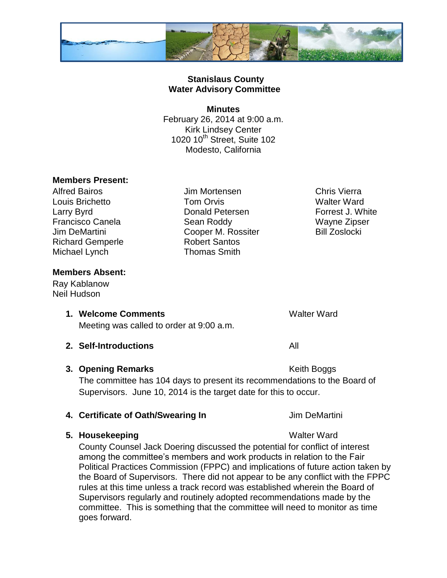

# **Stanislaus County Water Advisory Committee**

### **Minutes** February 26, 2014 at 9:00 a.m. Kirk Lindsey Center 1020 10<sup>th</sup> Street, Suite 102 Modesto, California

# **Members Present:**

Alfred Bairos Jim Mortensen Chris Vierra Louis Brichetto Tom Orvis Walter Ward Larry Byrd **Donald Petersen Conserverse Exercise** Porrest J. White Francisco Canela Sean Roddy Wayne Zipser Jim DeMartini **Cooper M. Rossiter** Bill Zoslocki Richard Gemperle **Robert Santos** Michael Lynch Thomas Smith

# **Members Absent:**

Ray Kablanow Neil Hudson

**1. Welcome Comments 1. Walter Ward** 

Meeting was called to order at 9:00 a.m.

**2. Self-Introductions** All

### **3. Opening Remarks** Keith Boggs

The committee has 104 days to present its recommendations to the Board of Supervisors. June 10, 2014 is the target date for this to occur.

# **4. Certificate of Oath/Swearing In The Contract Contract Service Contract Service Service Contract Operation**

# **5. Housekeeping** Walter Ward

County Counsel Jack Doering discussed the potential for conflict of interest among the committee's members and work products in relation to the Fair Political Practices Commission (FPPC) and implications of future action taken by the Board of Supervisors. There did not appear to be any conflict with the FPPC rules at this time unless a track record was established wherein the Board of Supervisors regularly and routinely adopted recommendations made by the committee. This is something that the committee will need to monitor as time goes forward.